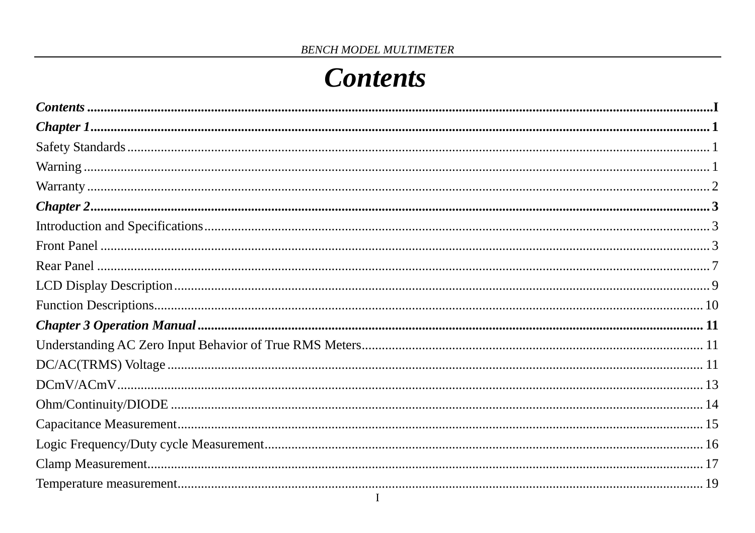# **Contents**

<span id="page-0-0"></span>

| $\label{thm:main} \textit{Contents} \xrightarrow{\textit{Contents}} \textit{1} \xrightarrow{\textit{1}} \textit{1} \xrightarrow{\textit{2}} \textit{1} \xrightarrow{\textit{3}} \textit{2} \xrightarrow{\textit{4}} \textit{2} \xrightarrow{\textit{5}} \textit{2} \xrightarrow{\textit{6}} \textit{2} \xrightarrow{\textit{7}} \textit{2} \xrightarrow{\textit{8}} \textit{3} \xrightarrow{\textit{9}} \textit{4} \xrightarrow{\textit{1}} \textit{5} \xrightarrow{\textit{1}} \textit{6} \xrightarrow{\textit{1}} \textit{7} \xrightarrow{\textit{1}} \text$ |  |
|----------------------------------------------------------------------------------------------------------------------------------------------------------------------------------------------------------------------------------------------------------------------------------------------------------------------------------------------------------------------------------------------------------------------------------------------------------------------------------------------------------------------------------------------------------------|--|
|                                                                                                                                                                                                                                                                                                                                                                                                                                                                                                                                                                |  |
|                                                                                                                                                                                                                                                                                                                                                                                                                                                                                                                                                                |  |
|                                                                                                                                                                                                                                                                                                                                                                                                                                                                                                                                                                |  |
|                                                                                                                                                                                                                                                                                                                                                                                                                                                                                                                                                                |  |
|                                                                                                                                                                                                                                                                                                                                                                                                                                                                                                                                                                |  |
|                                                                                                                                                                                                                                                                                                                                                                                                                                                                                                                                                                |  |
|                                                                                                                                                                                                                                                                                                                                                                                                                                                                                                                                                                |  |
|                                                                                                                                                                                                                                                                                                                                                                                                                                                                                                                                                                |  |
|                                                                                                                                                                                                                                                                                                                                                                                                                                                                                                                                                                |  |
|                                                                                                                                                                                                                                                                                                                                                                                                                                                                                                                                                                |  |
|                                                                                                                                                                                                                                                                                                                                                                                                                                                                                                                                                                |  |
|                                                                                                                                                                                                                                                                                                                                                                                                                                                                                                                                                                |  |
|                                                                                                                                                                                                                                                                                                                                                                                                                                                                                                                                                                |  |
|                                                                                                                                                                                                                                                                                                                                                                                                                                                                                                                                                                |  |
|                                                                                                                                                                                                                                                                                                                                                                                                                                                                                                                                                                |  |
|                                                                                                                                                                                                                                                                                                                                                                                                                                                                                                                                                                |  |
|                                                                                                                                                                                                                                                                                                                                                                                                                                                                                                                                                                |  |
|                                                                                                                                                                                                                                                                                                                                                                                                                                                                                                                                                                |  |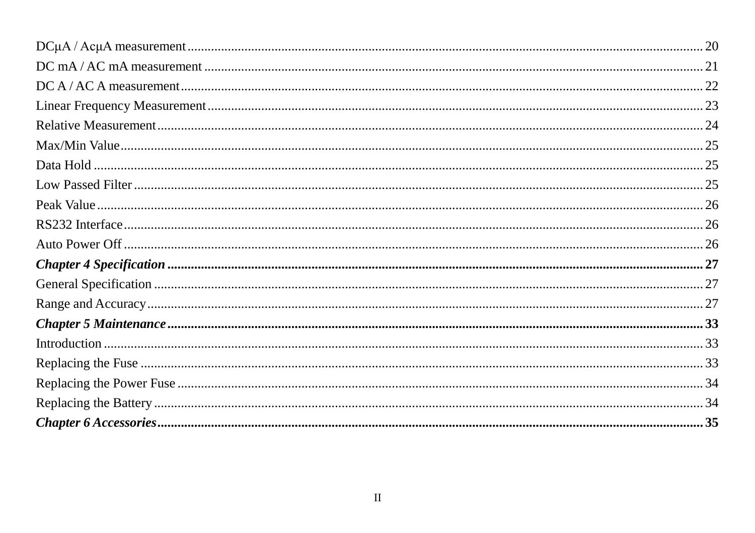| $DC A / AC A measurement \dots 22$ |  |
|------------------------------------|--|
|                                    |  |
|                                    |  |
|                                    |  |
|                                    |  |
|                                    |  |
|                                    |  |
|                                    |  |
|                                    |  |
|                                    |  |
|                                    |  |
|                                    |  |
|                                    |  |
|                                    |  |
|                                    |  |
|                                    |  |
|                                    |  |
| $Chapter 6 Accessories 35$         |  |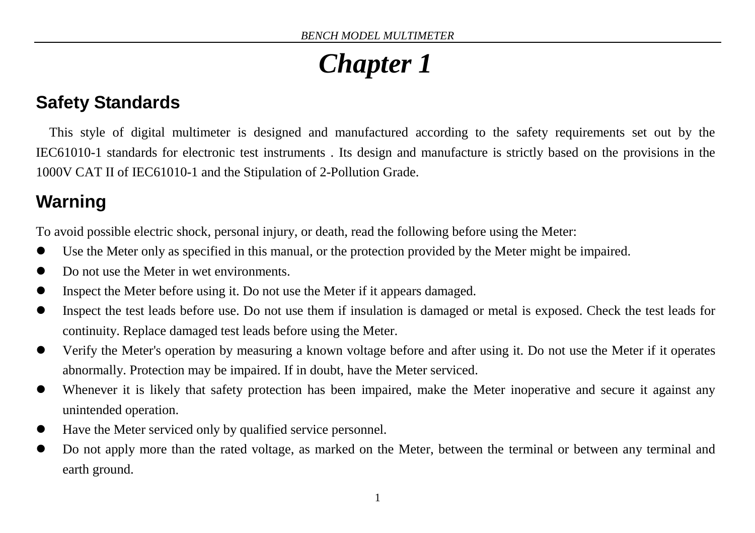# *Chapter 1*

# <span id="page-2-1"></span><span id="page-2-0"></span>**Safety Standards**

This style of digital multimeter is designed and manufactured according to the safety requirements set out by the IEC61010-1 standards for electronic test instruments . Its design and manufacture is strictly based on the provisions in the 1000V CAT II of IEC61010-1 and the Stipulation of 2-Pollution Grade.

# <span id="page-2-2"></span>**Warning**

To avoid possible electric shock, personal injury, or death, read the following before using the Meter:

- Use the Meter only as specified in this manual, or the protection provided by the Meter might be impaired.
- Do not use the Meter in wet environments.
- Inspect the Meter before using it. Do not use the Meter if it appears damaged.
- Inspect the test leads before use. Do not use them if insulation is damaged or metal is exposed. Check the test leads for continuity. Replace damaged test leads before using the Meter.
- Verify the Meter's operation by measuring a known voltage before and after using it. Do not use the Meter if it operates abnormally. Protection may be impaired. If in doubt, have the Meter serviced.
- Whenever it is likely that safety protection has been impaired, make the Meter inoperative and secure it against any unintended operation.
- Have the Meter serviced only by qualified service personnel.
- Do not apply more than the rated voltage, as marked on the Meter, between the terminal or between any terminal and earth ground.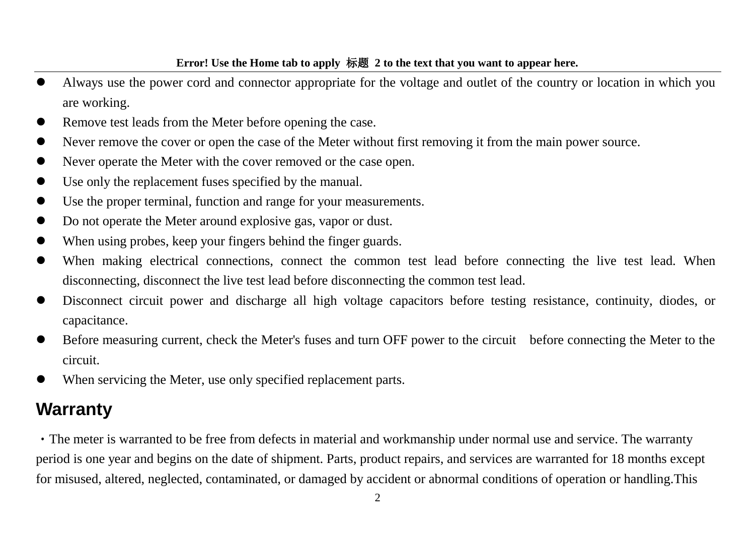- Always use the power cord and connector appropriate for the voltage and outlet of the country or location in which you are working.
- Remove test leads from the Meter before opening the case.
- Never remove the cover or open the case of the Meter without first removing it from the main power source.
- Never operate the Meter with the cover removed or the case open.
- Use only the replacement fuses specified by the manual.
- Use the proper terminal, function and range for your measurements.
- Do not operate the Meter around explosive gas, vapor or dust.
- When using probes, keep your fingers behind the finger guards.
- When making electrical connections, connect the common test lead before connecting the live test lead. When disconnecting, disconnect the live test lead before disconnecting the common test lead.
- Disconnect circuit power and discharge all high voltage capacitors before testing resistance, continuity, diodes, or capacitance.
- Before measuring current, check the Meter's fuses and turn OFF power to the circuit before connecting the Meter to the circuit.
- When servicing the Meter, use only specified replacement parts.

## <span id="page-3-0"></span>**Warranty**

The meter is warranted to be free from defects in material and workmanship under normal use and service. The warranty period is one year and begins on the date of shipment. Parts, product repairs, and services are warranted for 18 months except for misused, altered, neglected, contaminated, or damaged by accident or abnormal conditions of operation or handling.This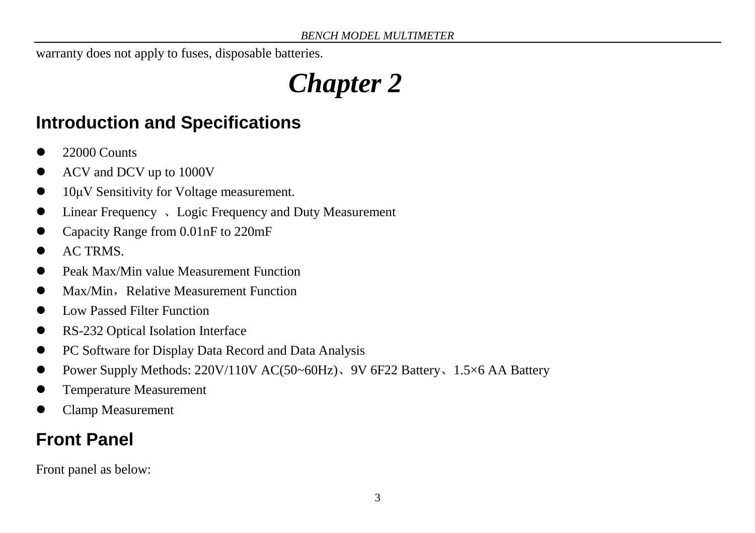<span id="page-4-0"></span>warranty does not apply to fuses, disposable batteries.

# *Chapter 2*

# <span id="page-4-1"></span>**Introduction and Specifications**

- 22000 Counts
- ACV and DCV up to 1000V
- 10μV Sensitivity for Voltage measurement.
- Linear Frequency 、Logic Frequency and Duty Measurement
- Capacity Range from 0.01nF to 220mF
- AC TRMS.
- Peak Max/Min value Measurement Function
- Max/Min, Relative Measurement Function
- Low Passed Filter Function
- RS-232 Optical Isolation Interface
- PC Software for Display Data Record and Data Analysis
- Power Supply Methods: 220V/110V AC(50~60Hz)、9V 6F22 Battery、1.5×6 AA Battery
- Temperature Measurement
- Clamp Measurement

# <span id="page-4-2"></span>**Front Panel**

Front panel as below: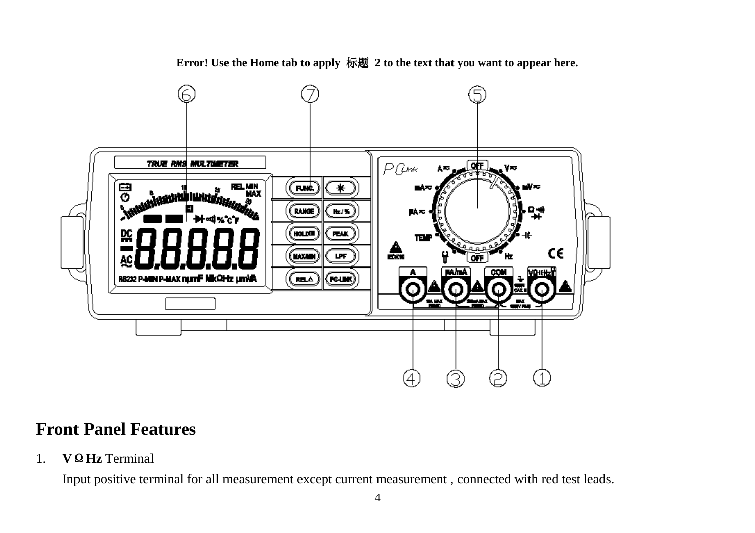

#### **Front Panel Features**

1. **V**Ω**Hz** Terminal

Input positive terminal for all measurement except current measurement , connected with red test leads.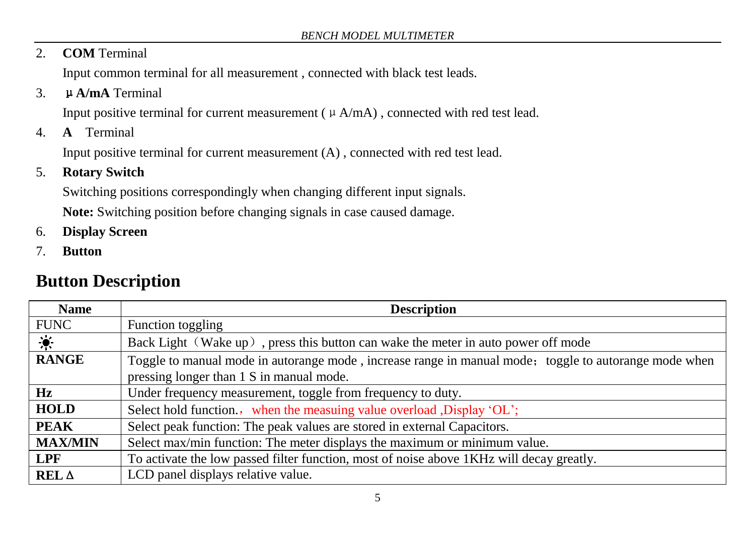#### 2. **COM** Terminal

Input common terminal for all measurement , connected with black test leads.

3. μ**A/mA** Terminal

Input positive terminal for current measurement ( $\mu$  A/mA), connected with red test lead.

4. **A** Terminal

Input positive terminal for current measurement (A) , connected with red test lead.

#### 5. **Rotary Switch**

Switching positions correspondingly when changing different input signals.

**Note:** Switching position before changing signals in case caused damage.

- 6. **Display Screen**
- 7. **Button**

## **Button Description**

| <b>Name</b>                 | <b>Description</b>                                                                                    |
|-----------------------------|-------------------------------------------------------------------------------------------------------|
| <b>FUNC</b>                 | Function toggling                                                                                     |
| $\mathcal{L}_{\mathcal{C}}$ | Back Light (Wake up), press this button can wake the meter in auto power off mode                     |
| <b>RANGE</b>                | Toggle to manual mode in autorange mode, increase range in manual mode; toggle to autorange mode when |
|                             | pressing longer than 1 S in manual mode.                                                              |
| Hz                          | Under frequency measurement, toggle from frequency to duty.                                           |
| <b>HOLD</b>                 | Select hold function., when the measuing value overload , Display 'OL';                               |
| <b>PEAK</b>                 | Select peak function: The peak values are stored in external Capacitors.                              |
| <b>MAX/MIN</b>              | Select max/min function: The meter displays the maximum or minimum value.                             |
| LPF                         | To activate the low passed filter function, most of noise above 1 KHz will decay greatly.             |
| REL A                       | LCD panel displays relative value.                                                                    |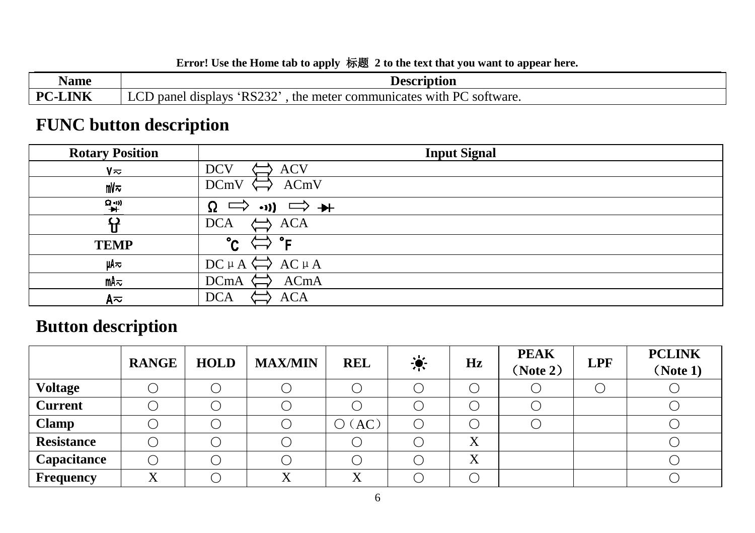| Name                                | <b>Description</b>                                                                                                                 |
|-------------------------------------|------------------------------------------------------------------------------------------------------------------------------------|
| <b>TATE</b><br>$\mathbf{p}$<br>LINK | 'RS232'<br>$\sim$ r $\sim$<br>$P\Gamma$<br>software.<br>panel<br>the .<br>meter<br>communicates :<br>displays<br>, with<br>∸~<br>ື |

# **FUNC button description**

| <b>Rotary Position</b> | <b>Input Signal</b>                                                         |
|------------------------|-----------------------------------------------------------------------------|
| $V \approx$            | <b>ACV</b><br><b>DCV</b>                                                    |
| mV≂                    | ACmV<br><b>DCmV</b>                                                         |
| $\rightarrow +$        | Ω<br>$\Rightarrow \rightarrow$<br>$\rightarrow$ $\rightarrow$ $\rightarrow$ |
|                        | <b>ACA</b><br><b>DCA</b>                                                    |
| <b>TEMP</b>            | - ہ<br>°c                                                                   |
| цΑ≂                    | $\Rightarrow$ AC $\mu$ A<br>$DC \mu A$                                      |
| mA≂                    | ACmA<br><b>DCmA</b>                                                         |
| A≂                     | <b>ACA</b><br><b>DCA</b>                                                    |

# **Button description**

|                   | <b>RANGE</b> | <b>HOLD</b> | <b>MAX/MIN</b> | <b>REL</b>                                            | $\bullet$ | Hz     | <b>PEAK</b><br>(Note 2) | <b>LPF</b> | <b>PCLINK</b><br>(Note 1) |
|-------------------|--------------|-------------|----------------|-------------------------------------------------------|-----------|--------|-------------------------|------------|---------------------------|
| <b>Voltage</b>    |              |             |                |                                                       |           |        |                         |            |                           |
| <b>Current</b>    |              |             |                |                                                       |           |        |                         |            |                           |
| <b>Clamp</b>      |              |             |                | AC<br>$\left( \begin{array}{c} 1 \end{array} \right)$ |           |        |                         |            |                           |
| <b>Resistance</b> |              |             |                |                                                       |           | v<br>A |                         |            |                           |
| Capacitance       |              |             |                |                                                       |           | X      |                         |            |                           |
| <b>Frequency</b>  | v            |             |                | v                                                     |           |        |                         |            |                           |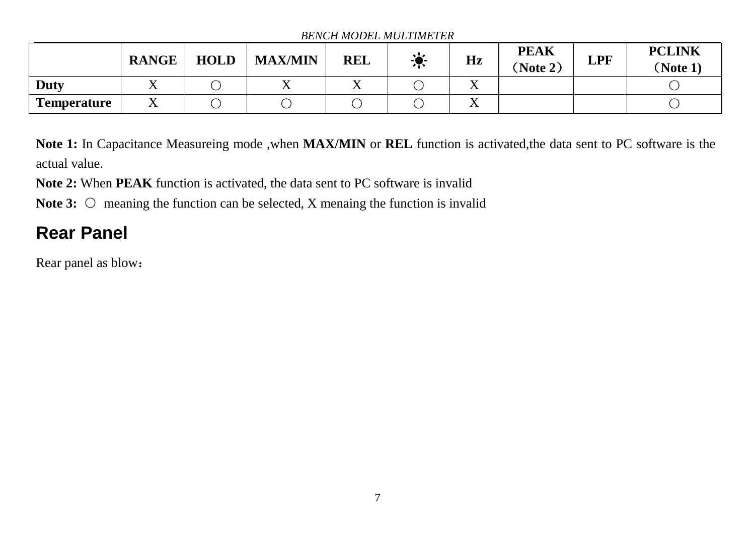#### *BENCH MODEL MULTIMETER*

|                    | <b>RANGE</b>             | <b>HOLD</b> | <b>MAX/MIN</b> | <b>REL</b> | $\bullet$ | Hz                 | <b>PEAK</b><br>Note 2) | <b>LPF</b> | <b>PCLINK</b><br>(Note 1) |
|--------------------|--------------------------|-------------|----------------|------------|-----------|--------------------|------------------------|------------|---------------------------|
| Duty               | $\overline{ }$           |             |                | 77         |           | $\overline{ }$     |                        |            |                           |
| <b>Temperature</b> | $\overline{\phantom{a}}$ |             |                |            |           | $\mathbf{v}$<br>77 |                        |            |                           |

**Note 1:** In Capacitance Measureing mode ,when **MAX/MIN** or **REL** function is activated,the data sent to PC software is the actual value.

**Note 2:** When **PEAK** function is activated, the data sent to PC software is invalid

**Note 3:** ○ meaning the function can be selected, X menaing the function is invalid

# <span id="page-8-0"></span>**Rear Panel**

Rear panel as blow: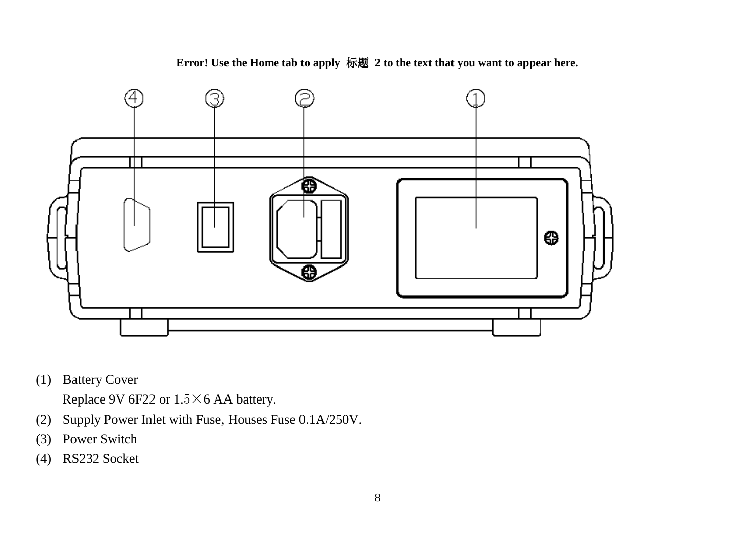

(1) Battery Cover

Replace 9V 6F22 or 1.5×6 AA battery.

- (2) Supply Power Inlet with Fuse, Houses Fuse 0.1A/250V.
- (3) Power Switch
- (4) RS232 Socket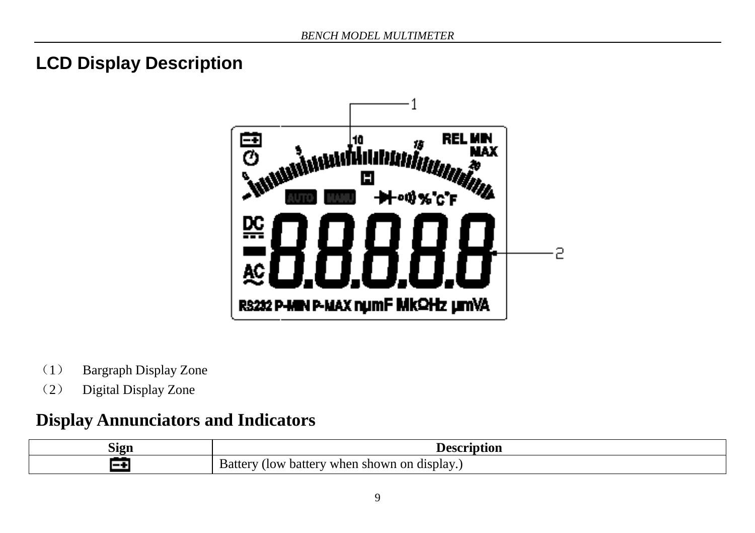# <span id="page-10-0"></span>**LCD Display Description**



- (1) Bargraph Display Zone
- (2) Digital Display Zone

## **Display Annunciators and Indicators**

| $\sim$<br>Sign |                                                                    |
|----------------|--------------------------------------------------------------------|
|                | on<br>(display.)<br>shown :<br>when.<br>(Iow<br>battery<br>Battery |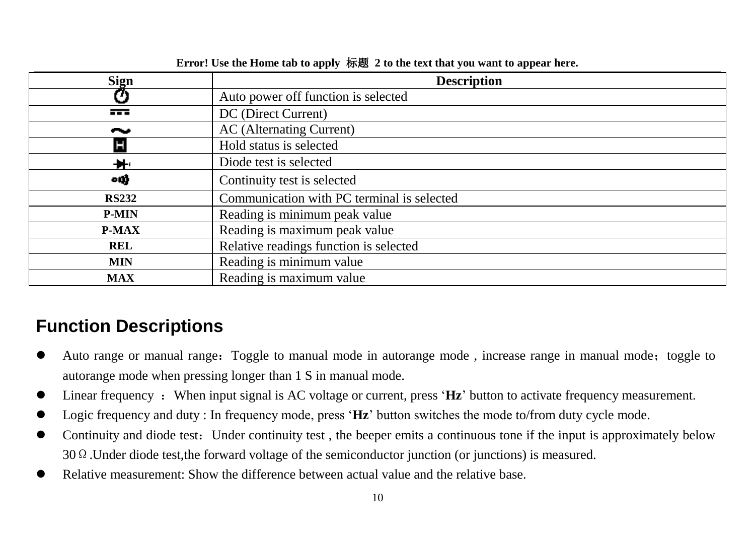| <b>Sign</b>    | <b>Description</b>                         |
|----------------|--------------------------------------------|
| D              | Auto power off function is selected        |
| $\overline{1}$ | DC (Direct Current)                        |
| --             | AC (Alternating Current)                   |
|                | Hold status is selected                    |
| ₩.             | Diode test is selected                     |
| ощł            | Continuity test is selected                |
| <b>RS232</b>   | Communication with PC terminal is selected |
| <b>P-MIN</b>   | Reading is minimum peak value              |
| <b>P-MAX</b>   | Reading is maximum peak value              |
| <b>REL</b>     | Relative readings function is selected     |
| <b>MIN</b>     | Reading is minimum value                   |
| <b>MAX</b>     | Reading is maximum value                   |

# <span id="page-11-0"></span>**Function Descriptions**

- Auto range or manual range: Toggle to manual mode in autorange mode, increase range in manual mode; toggle to autorange mode when pressing longer than 1 S in manual mode.
- Linear frequency : When input signal is AC voltage or current, press 'Hz' button to activate frequency measurement.
- Logic frequency and duty : In frequency mode, press '**Hz**' button switches the mode to/from duty cycle mode.
- Continuity and diode test: Under continuity test, the beeper emits a continuous tone if the input is approximately below 30Ω.Under diode test,the forward voltage of the semiconductor junction (or junctions) is measured.
- Relative measurement: Show the difference between actual value and the relative base.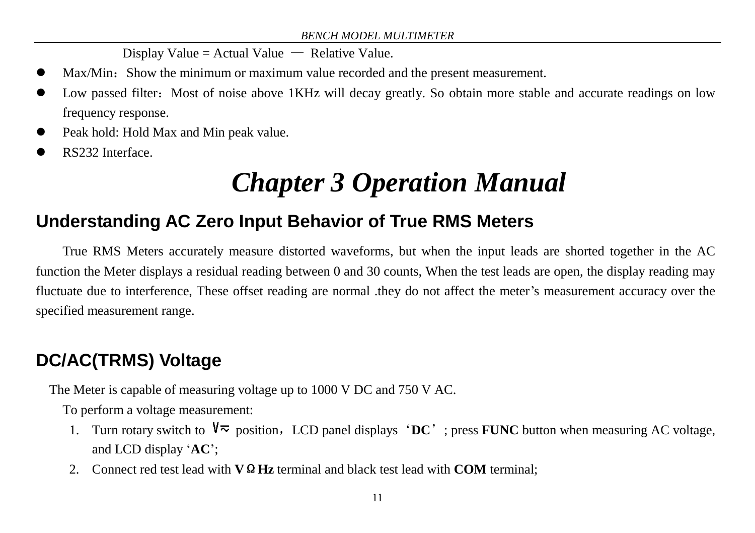Display Value = Actual Value  $-$  Relative Value.

- Max/Min: Show the minimum or maximum value recorded and the present measurement.
- Low passed filter: Most of noise above 1KHz will decay greatly. So obtain more stable and accurate readings on low frequency response.
- Peak hold: Hold Max and Min peak value.
- <span id="page-12-0"></span>RS232 Interface.

# *Chapter 3 Operation Manual*

# <span id="page-12-1"></span>**Understanding AC Zero Input Behavior of True RMS Meters**

True RMS Meters accurately measure distorted waveforms, but when the input leads are shorted together in the AC function the Meter displays a residual reading between 0 and 30 counts, When the test leads are open, the display reading may fluctuate due to interference, These offset reading are normal .they do not affect the meter's measurement accuracy over the specified measurement range.

# <span id="page-12-2"></span>**DC/AC(TRMS) Voltage**

The Meter is capable of measuring voltage up to 1000 V DC and 750 V AC.

To perform a voltage measurement:

- 1. Turn rotary switch to  $\sqrt[n]{\infty}$  position, LCD panel displays 'DC'; press **FUNC** button when measuring AC voltage, and LCD display '**AC**';
- 2. Connect red test lead with **V**Ω**Hz** terminal and black test lead with **COM** terminal;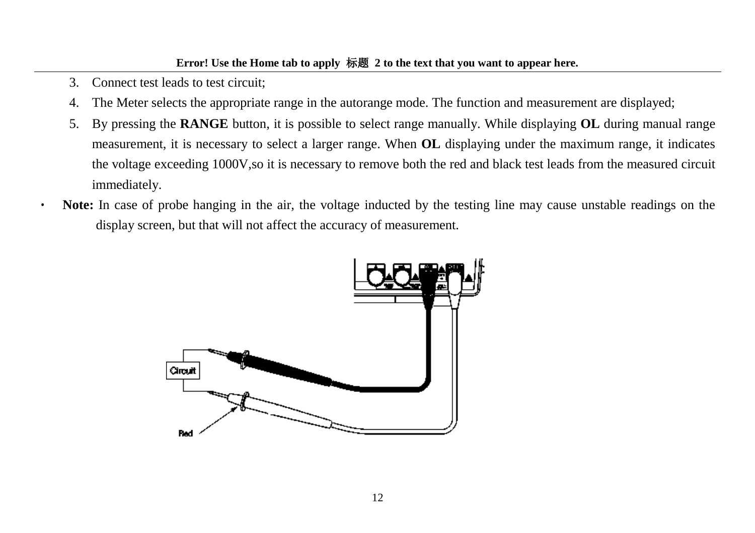- 3. Connect test leads to test circuit;
- 4. The Meter selects the appropriate range in the autorange mode. The function and measurement are displayed;
- 5. By pressing the **RANGE** button, it is possible to select range manually. While displaying **OL** during manual range measurement, it is necessary to select a larger range. When **OL** displaying under the maximum range, it indicates the voltage exceeding 1000V,so it is necessary to remove both the red and black test leads from the measured circuit immediately.
- **Note:** In case of probe hanging in the air, the voltage inducted by the testing line may cause unstable readings on the display screen, but that will not affect the accuracy of measurement.

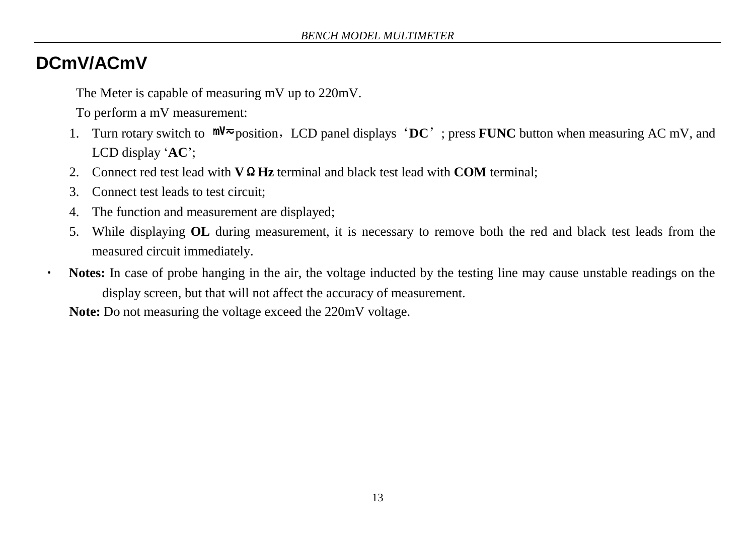## <span id="page-14-0"></span>**DCmV/ACmV**

 $\bullet$ 

The Meter is capable of measuring mV up to 220mV.

To perform a mV measurement:

- 1. Turn rotary switch to  $mV \approx$  position, LCD panel displays 'DC'; press **FUNC** button when measuring AC mV, and LCD display '**AC**';
- 2. Connect red test lead with **V**Ω**Hz** terminal and black test lead with **COM** terminal;
- 3. Connect test leads to test circuit;
- 4. The function and measurement are displayed;
- 5. While displaying **OL** during measurement, it is necessary to remove both the red and black test leads from the measured circuit immediately.
- **Notes:** In case of probe hanging in the air, the voltage inducted by the testing line may cause unstable readings on the display screen, but that will not affect the accuracy of measurement.

**Note:** Do not measuring the voltage exceed the 220mV voltage.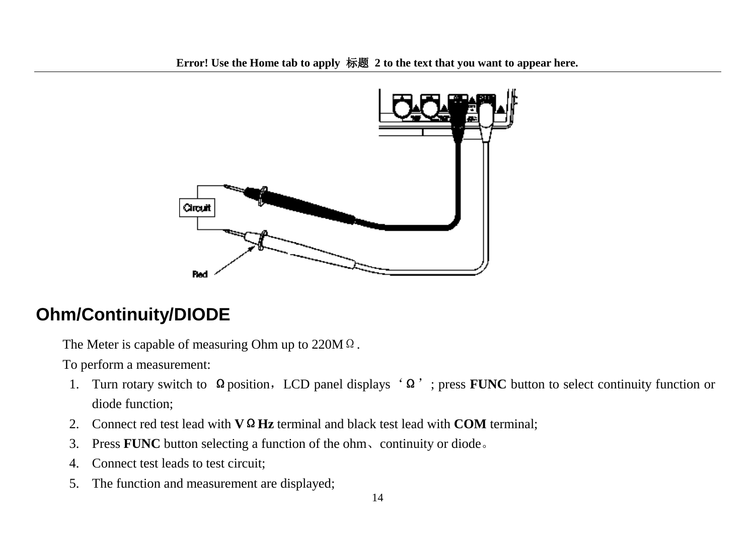

# <span id="page-15-0"></span>**Ohm/Continuity/DIODE**

The Meter is capable of measuring Ohm up to 220MΩ.

- 1. Turn rotary switch to Ωposition, LCD panel displays 'Ω'; press **FUNC** button to select continuity function or diode function;
- 2. Connect red test lead with **V**Ω**Hz** terminal and black test lead with **COM** terminal;
- 3. Press **FUNC** button selecting a function of the ohm、continuity or diode。
- 4. Connect test leads to test circuit;
- 5. The function and measurement are displayed;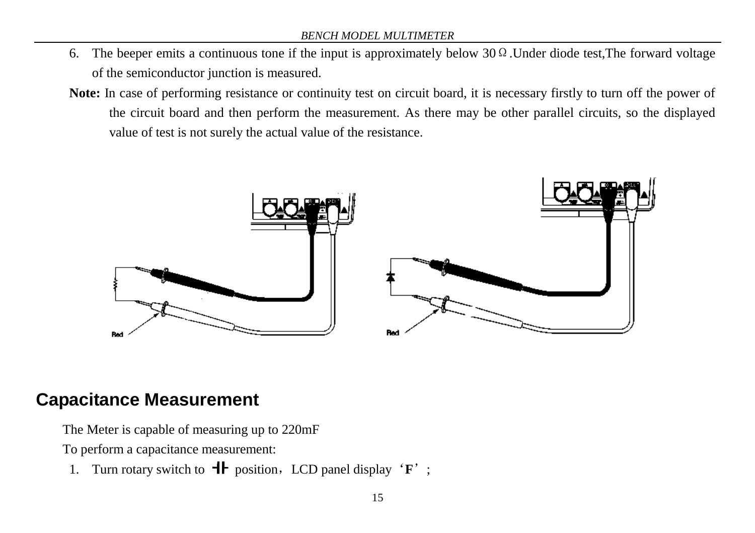- 6. The beeper emits a continuous tone if the input is approximately below  $30 \Omega$ . Under diode test, The forward voltage of the semiconductor junction is measured.
- **Note:** In case of performing resistance or continuity test on circuit board, it is necessary firstly to turn off the power of the circuit board and then perform the measurement. As there may be other parallel circuits, so the displayed value of test is not surely the actual value of the resistance.



## <span id="page-16-0"></span>**Capacitance Measurement**

The Meter is capable of measuring up to 220mF

To perform a capacitance measurement:

1. Turn rotary switch to  $\mathbf{H}$  position, LCD panel display '**F**';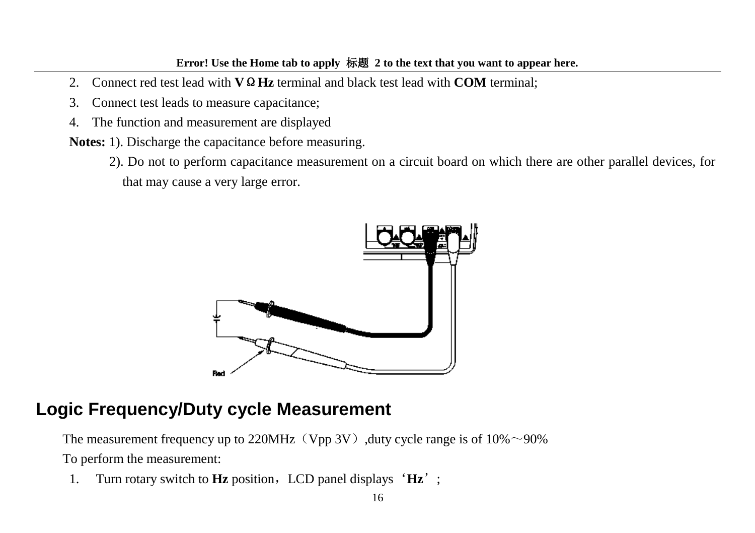- 2. Connect red test lead with **V**Ω**Hz** terminal and black test lead with **COM** terminal;
- 3. Connect test leads to measure capacitance;
- 4. The function and measurement are displayed
- **Notes:** 1). Discharge the capacitance before measuring.
	- 2). Do not to perform capacitance measurement on a circuit board on which there are other parallel devices, for that may cause a very large error.



## <span id="page-17-0"></span>**Logic Frequency/Duty cycle Measurement**

The measurement frequency up to 220MHz (Vpp 3V), duty cycle range is of  $10\% \sim 90\%$ To perform the measurement:

1. Turn rotary switch to **Hz** position, LCD panel displays 'Hz';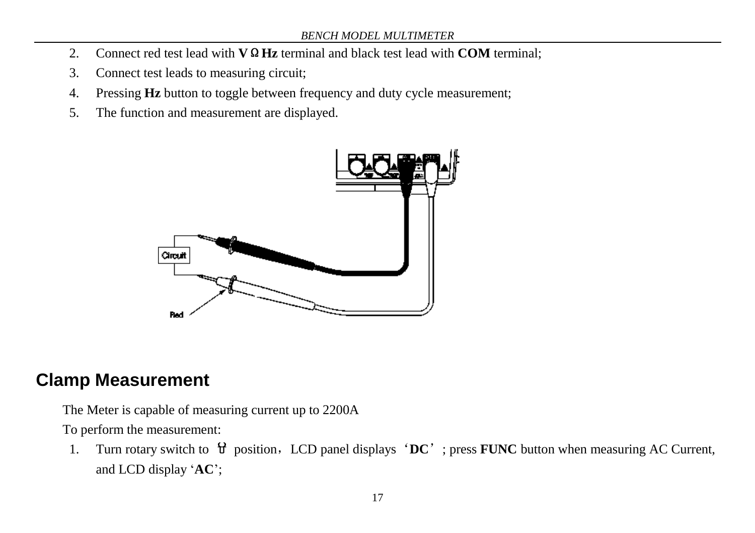- 2. Connect red test lead with **V**Ω**Hz** terminal and black test lead with **COM** terminal;
- 3. Connect test leads to measuring circuit;
- 4. Pressing **Hz** button to toggle between frequency and duty cycle measurement;
- 5. The function and measurement are displayed.



#### <span id="page-18-0"></span>**Clamp Measurement**

The Meter is capable of measuring current up to 2200A

To perform the measurement:

1. Turn rotary switch to  $\mathbf{\hat{U}}$  position, LCD panel displays 'DC'; press **FUNC** button when measuring AC Current, and LCD display '**AC**';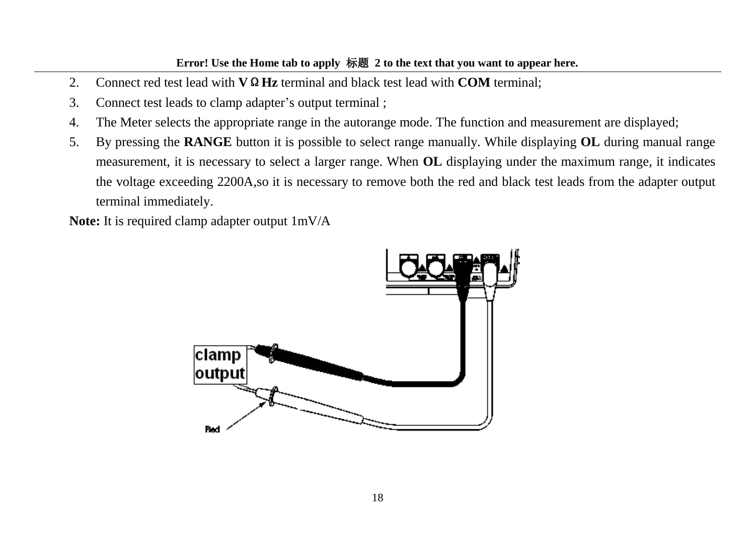- 2. Connect red test lead with **V**Ω**Hz** terminal and black test lead with **COM** terminal;
- 3. Connect test leads to clamp adapter's output terminal ;
- 4. The Meter selects the appropriate range in the autorange mode. The function and measurement are displayed;
- 5. By pressing the **RANGE** button it is possible to select range manually. While displaying **OL** during manual range measurement, it is necessary to select a larger range. When **OL** displaying under the maximum range, it indicates the voltage exceeding 2200A,so it is necessary to remove both the red and black test leads from the adapter output terminal immediately.

**Note:** It is required clamp adapter output 1mV/A

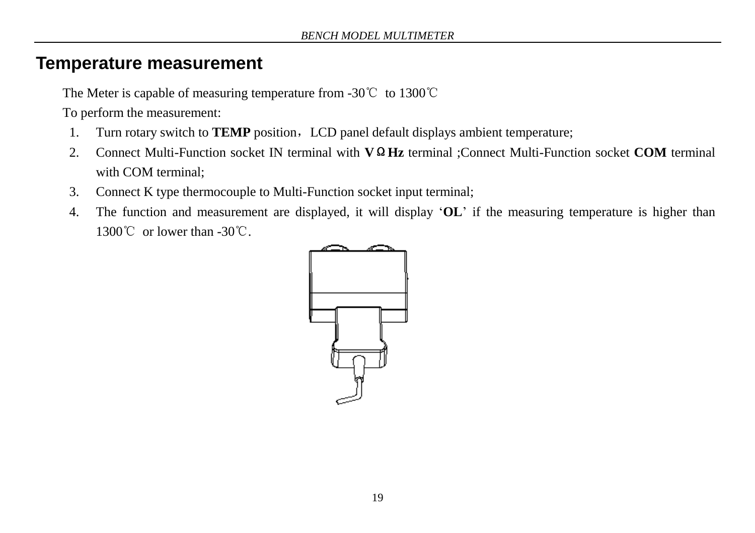#### <span id="page-20-0"></span>**Temperature measurement**

The Meter is capable of measuring temperature from -30℃ to 1300℃

- 1. Turn rotary switch to **TEMP** position, LCD panel default displays ambient temperature;
- 2. Connect Multi-Function socket IN terminal with **V**Ω**Hz** terminal ;Connect Multi-Function socket **COM** terminal with COM terminal;
- 3. Connect K type thermocouple to Multi-Function socket input terminal;
- 4. The function and measurement are displayed, it will display '**OL**' if the measuring temperature is higher than 1300℃ or lower than -30℃.

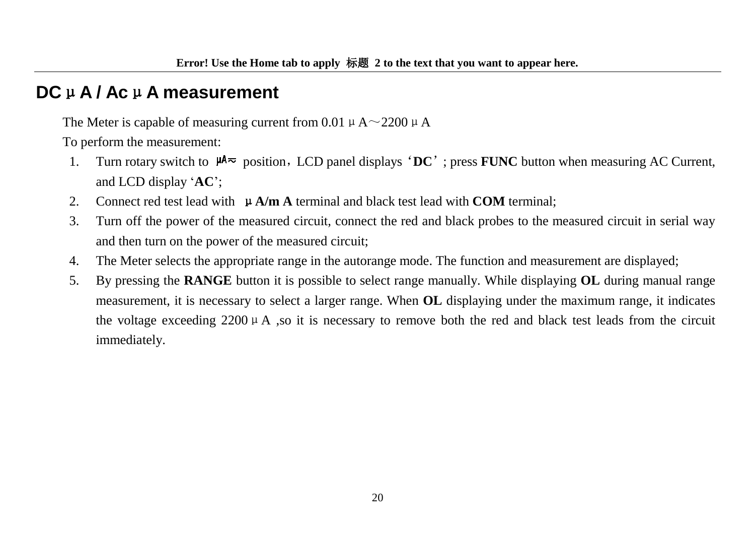## <span id="page-21-0"></span>**DC**μ**A / Ac**μ**A measurement**

The Meter is capable of measuring current from 0.01  $\mu$  A $\sim$ 2200  $\mu$  A

- 1. Turn rotary switch to  $\mu A \sim$  position, LCD panel displays 'DC'; press **FUNC** button when measuring AC Current, and LCD display '**AC**';
- 2. Connect red test lead with μ**A/m A** terminal and black test lead with **COM** terminal;
- 3. Turn off the power of the measured circuit, connect the red and black probes to the measured circuit in serial way and then turn on the power of the measured circuit;
- 4. The Meter selects the appropriate range in the autorange mode. The function and measurement are displayed;
- 5. By pressing the **RANGE** button it is possible to select range manually. While displaying **OL** during manual range measurement, it is necessary to select a larger range. When **OL** displaying under the maximum range, it indicates the voltage exceeding 2200  $\mu$  A ,so it is necessary to remove both the red and black test leads from the circuit immediately.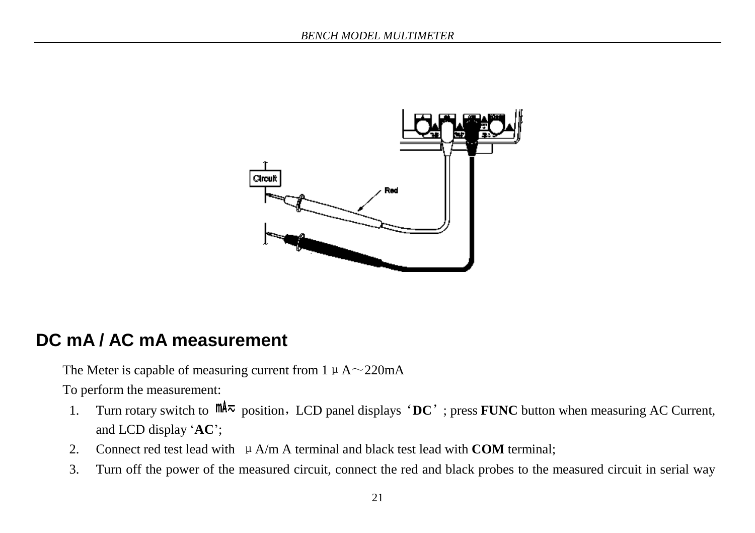

## <span id="page-22-0"></span>**DC mA / AC mA measurement**

The Meter is capable of measuring current from  $1 \mu$  A $\sim$ 220mA

- 1. Turn rotary switch to  $\mathbb{M}^2$  position, LCD panel displays 'DC'; press **FUNC** button when measuring AC Current, and LCD display '**AC**';
- 2. Connect red test lead with  $\mu$  A/m A terminal and black test lead with **COM** terminal:
- 3. Turn off the power of the measured circuit, connect the red and black probes to the measured circuit in serial way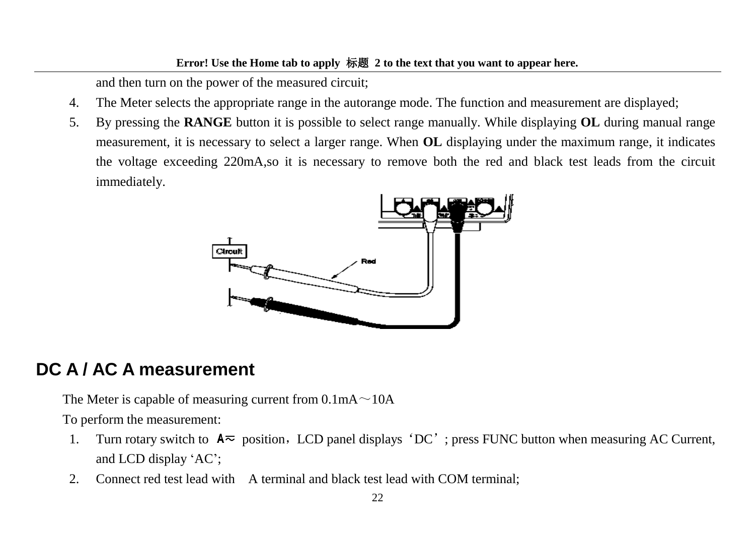and then turn on the power of the measured circuit;

- 4. The Meter selects the appropriate range in the autorange mode. The function and measurement are displayed;
- 5. By pressing the **RANGE** button it is possible to select range manually. While displaying **OL** during manual range measurement, it is necessary to select a larger range. When **OL** displaying under the maximum range, it indicates the voltage exceeding 220mA,so it is necessary to remove both the red and black test leads from the circuit immediately.



#### <span id="page-23-0"></span>**DC A / AC A measurement**

The Meter is capable of measuring current from  $0.1\text{mA} \sim 10\text{A}$ 

- 1. Turn rotary switch to  $A\overline{\sim}$  position, LCD panel displays 'DC'; press FUNC button when measuring AC Current, and LCD display 'AC';
- 2. Connect red test lead with A terminal and black test lead with COM terminal;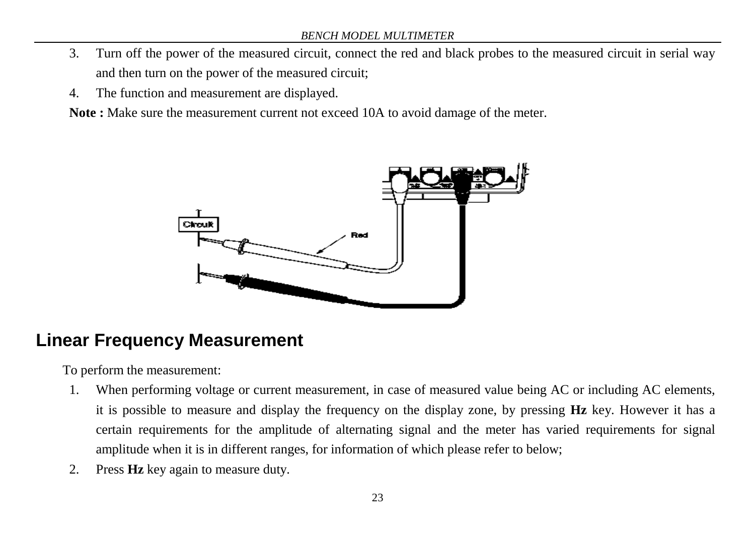- 3. Turn off the power of the measured circuit, connect the red and black probes to the measured circuit in serial way and then turn on the power of the measured circuit;
- 4. The function and measurement are displayed.

**Note :** Make sure the measurement current not exceed 10A to avoid damage of the meter.



#### <span id="page-24-0"></span>**Linear Frequency Measurement**

- 1. When performing voltage or current measurement, in case of measured value being AC or including AC elements, it is possible to measure and display the frequency on the display zone, by pressing **Hz** key. However it has a certain requirements for the amplitude of alternating signal and the meter has varied requirements for signal amplitude when it is in different ranges, for information of which please refer to below;
- 2. Press **Hz** key again to measure duty.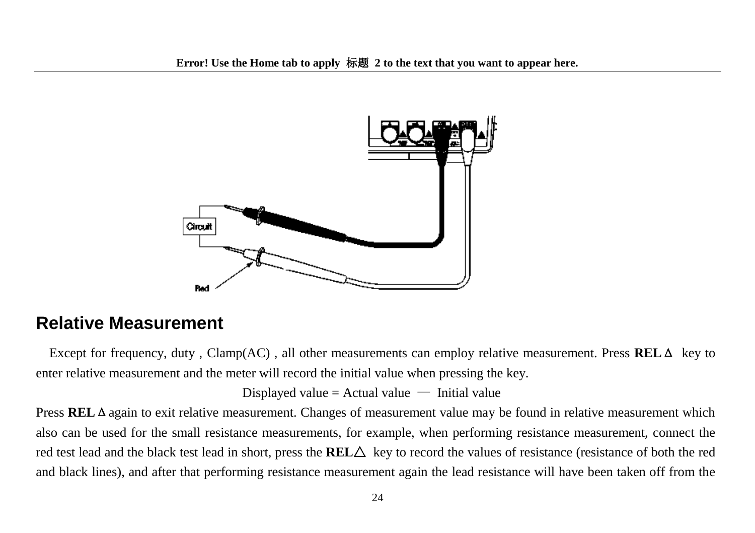

#### <span id="page-25-0"></span>**Relative Measurement**

Except for frequency, duty , Clamp(AC) , all other measurements can employ relative measurement. Press **REL**Δ key to enter relative measurement and the meter will record the initial value when pressing the key.

Displayed value = Actual value  $-$  Initial value

Press **REL**Δagain to exit relative measurement. Changes of measurement value may be found in relative measurement which also can be used for the small resistance measurements, for example, when performing resistance measurement, connect the red test lead and the black test lead in short, press the **REL** $\triangle$  key to record the values of resistance (resistance of both the red and black lines), and after that performing resistance measurement again the lead resistance will have been taken off from the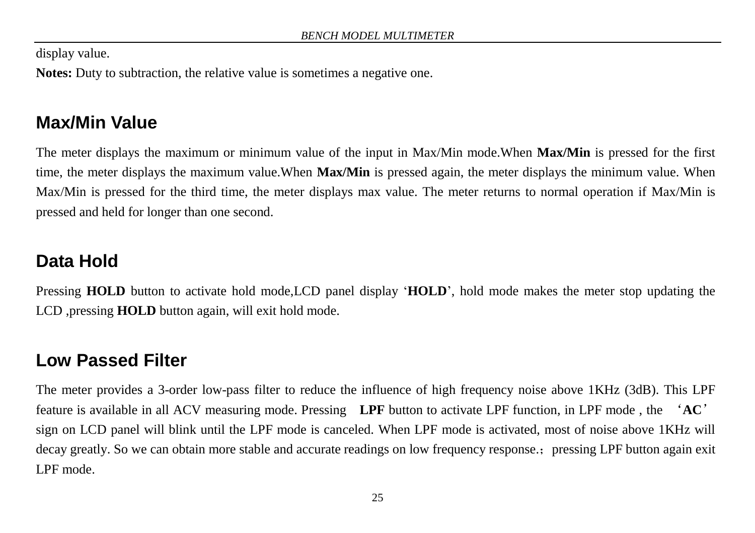display value.

**Notes:** Duty to subtraction, the relative value is sometimes a negative one.

# <span id="page-26-0"></span>**Max/Min Value**

The meter displays the maximum or minimum value of the input in Max/Min mode.When **Max/Min** is pressed for the first time, the meter displays the maximum value.When **Max/Min** is pressed again, the meter displays the minimum value. When Max/Min is pressed for the third time, the meter displays max value. The meter returns to normal operation if Max/Min is pressed and held for longer than one second.

# <span id="page-26-1"></span>**Data Hold**

Pressing **HOLD** button to activate hold mode, LCD panel display 'HOLD', hold mode makes the meter stop updating the LCD ,pressing **HOLD** button again, will exit hold mode.

# <span id="page-26-2"></span>**Low Passed Filter**

The meter provides a 3-order low-pass filter to reduce the influence of high frequency noise above 1KHz (3dB). This LPF feature is available in all ACV measuring mode. Pressing **LPF** button to activate LPF function, in LPF mode , the '**AC**' sign on LCD panel will blink until the LPF mode is canceled. When LPF mode is activated, most of noise above 1KHz will decay greatly. So we can obtain more stable and accurate readings on low frequency response.; pressing LPF button again exit LPF mode.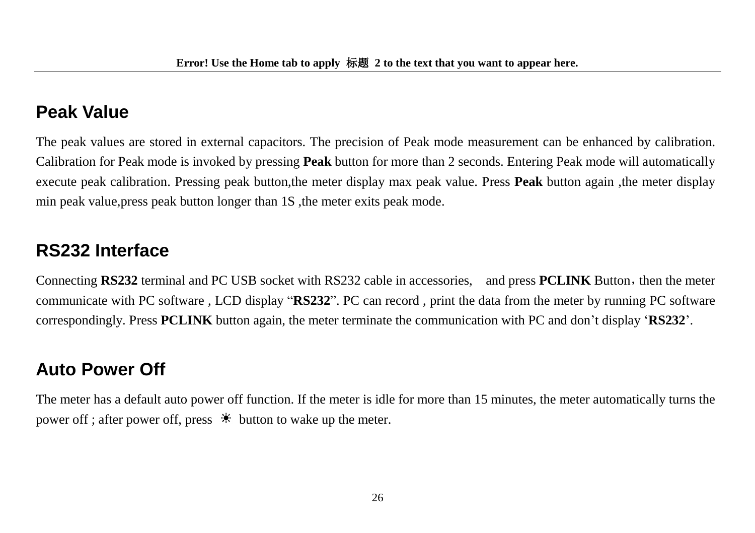### <span id="page-27-0"></span>**Peak Value**

The peak values are stored in external capacitors. The precision of Peak mode measurement can be enhanced by calibration. Calibration for Peak mode is invoked by pressing **Peak** button for more than 2 seconds. Entering Peak mode will automatically execute peak calibration. Pressing peak button,the meter display max peak value. Press **Peak** button again ,the meter display min peak value, press peak button longer than 1S, the meter exits peak mode.

# <span id="page-27-1"></span>**RS232 Interface**

Connecting **RS232** terminal and PC USB socket with RS232 cable in accessories, and press **PCLINK** Button, then the meter communicate with PC software , LCD display "**RS232**". PC can record , print the data from the meter by running PC software correspondingly. Press **PCLINK** button again, the meter terminate the communication with PC and don't display '**RS232**'.

# <span id="page-27-2"></span>**Auto Power Off**

The meter has a default auto power off function. If the meter is idle for more than 15 minutes, the meter automatically turns the power off ; after power off, press  $\bullet$  button to wake up the meter.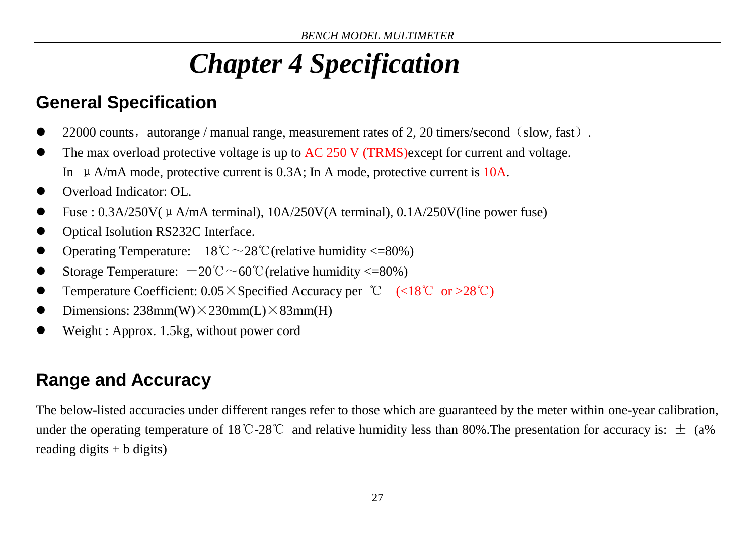# *Chapter 4 Specification*

# <span id="page-28-1"></span><span id="page-28-0"></span>**General Specification**

- 22000 counts, autorange / manual range, measurement rates of 2, 20 timers/second (slow, fast).
- The max overload protective voltage is up to AC 250 V (TRMS)except for current and voltage. In  $\mu$  A/mA mode, protective current is 0.3A; In A mode, protective current is 10A.
- Overload Indicator: OL.
- Fuse :  $0.3A/250V(\mu A/mA terminal)$ ,  $10A/250V(A terminal)$ ,  $0.1A/250V(line power fuse)$
- Optical Isolution RS232C Interface.
- Operating Temperature:  $18^{\circ}\text{C} \sim 28^{\circ}\text{C}$  (relative humidity <=80%)
- Storage Temperature:  $-20^{\circ}\text{C} \sim 60^{\circ}\text{C}$  (relative humidity <=80%)
- Temperature Coefficient: 0.05×Specified Accuracy per ℃ (<18℃ or >28℃)
- Dimensions:  $238mm(W)\times 230mm(L)\times 83mm(H)$
- Weight : Approx. 1.5kg, without power cord

# <span id="page-28-2"></span>**Range and Accuracy**

The below-listed accuracies under different ranges refer to those which are guaranteed by the meter within one-year calibration, under the operating temperature of 18°C-28°C and relative humidity less than 80%. The presentation for accuracy is:  $\pm$  (a%) reading digits  $+ b$  digits)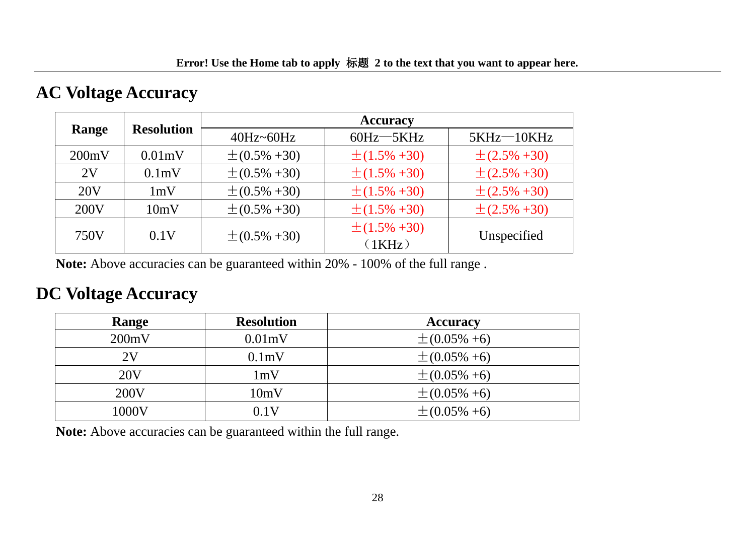#### **AC Voltage Accuracy**

|       |                   | <b>Accuracy</b>    |                              |                    |  |  |
|-------|-------------------|--------------------|------------------------------|--------------------|--|--|
| Range | <b>Resolution</b> | $40Hz - 60Hz$      | $60Hz - 5KHz$                | $5KHz - 10KHz$     |  |  |
| 200mV | 0.01mV            | $\pm (0.5\% + 30)$ | $\pm (1.5\% + 30)$           | $\pm (2.5\% + 30)$ |  |  |
| 2V    | $0.1m$ V          | $\pm (0.5\% + 30)$ | $\pm (1.5\% + 30)$           | $\pm (2.5\% + 30)$ |  |  |
| 20V   | 1mV               | $\pm (0.5\% + 30)$ | $\pm (1.5\% + 30)$           | $\pm (2.5\% + 30)$ |  |  |
| 200V  | 10mV              | $\pm (0.5\% + 30)$ | $\pm (1.5\% + 30)$           | $\pm (2.5\% + 30)$ |  |  |
| 750V  | 0.1V              | $\pm (0.5\% + 30)$ | $\pm (1.5\% + 30)$<br>(1KHz) | Unspecified        |  |  |

**Note:** Above accuracies can be guaranteed within 20% - 100% of the full range .

#### **DC Voltage Accuracy**

| Range           | <b>Resolution</b>  | <b>Accuracy</b>    |
|-----------------|--------------------|--------------------|
| 200mV           | $0.01$ mV          | $\pm (0.05\% + 6)$ |
| 2V              | 0.1 <sub>m</sub> V | $\pm (0.05\% + 6)$ |
| 20 <sub>V</sub> | 1mV                | $\pm (0.05\% + 6)$ |
| 200V            | 10mV               | $\pm (0.05\% + 6)$ |
| 1000V           | 0.1V               | $\pm (0.05\% + 6)$ |

**Note:** Above accuracies can be guaranteed within the full range.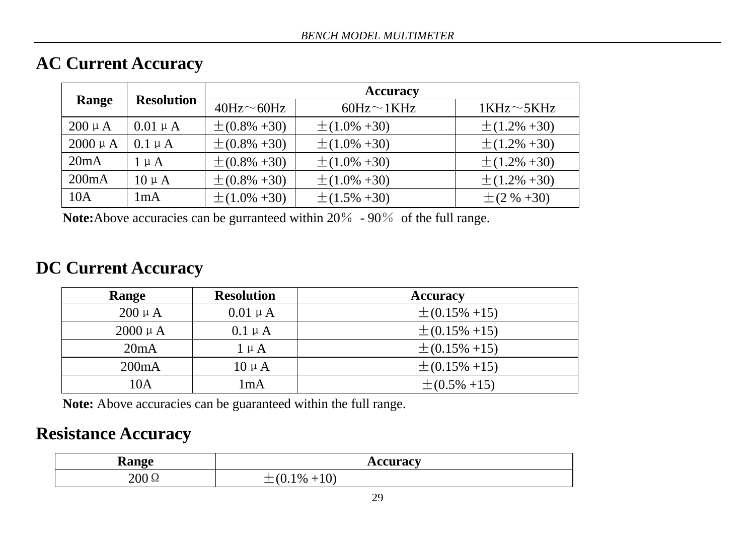#### **AC Current Accuracy**

|              |                   | <b>Accuracy</b>                |                    |                    |  |  |  |
|--------------|-------------------|--------------------------------|--------------------|--------------------|--|--|--|
| Range        | <b>Resolution</b> | $40\text{Hz} \sim 60\text{Hz}$ | $60Hz \sim 1KHz$   | $1KHz \sim 5KHz$   |  |  |  |
| $200 \mu A$  | $0.01 \mu A$      | $\pm (0.8\% + 30)$             | $\pm (1.0\% + 30)$ | $\pm (1.2\% + 30)$ |  |  |  |
| $2000 \mu A$ | $0.1 \mu A$       | $\pm (0.8\% + 30)$             | $\pm (1.0\% + 30)$ | $\pm (1.2\% + 30)$ |  |  |  |
| 20mA         | $1 \mu A$         | $\pm (0.8\% + 30)$             | $\pm (1.0\% + 30)$ | $\pm (1.2\% + 30)$ |  |  |  |
| 200mA        | $10 \mu A$        | $\pm (0.8\% + 30)$             | $\pm (1.0\% + 30)$ | $\pm (1.2\% + 30)$ |  |  |  |
| 10A          | 1mA               | $\pm (1.0\% + 30)$             | $\pm (1.5\% + 30)$ | $\pm (2 \% + 30)$  |  |  |  |

**Note:**Above accuracies can be gurranteed within 20% - 90% of the full range.

#### **DC Current Accuracy**

| Range        | <b>Resolution</b> | <b>Accuracy</b>    |
|--------------|-------------------|--------------------|
| $200 \mu A$  | $0.01 \mu A$      | $\pm (0.15\% +15)$ |
| $2000 \mu A$ | $0.1 \mu A$       | $\pm (0.15\% +15)$ |
| 20mA         | $1 \mu A$         | $\pm (0.15\% +15)$ |
| 200mA        | $10 \mu A$        | $\pm (0.15\% +15)$ |
| 10A          | lmA               | $\pm (0.5\% +15)$  |

**Note:** Above accuracies can be guaranteed within the full range.

#### **Resistance Accuracy**

| ∽<br>anga<br>лаШ≥г | curacv<br>                                                    |
|--------------------|---------------------------------------------------------------|
| $200\,\Omega$      | $\sqrt{2}$<br>$\mathbf{r}$<br>$^{\bullet}$ %<br>ΊU<br>'υ<br>— |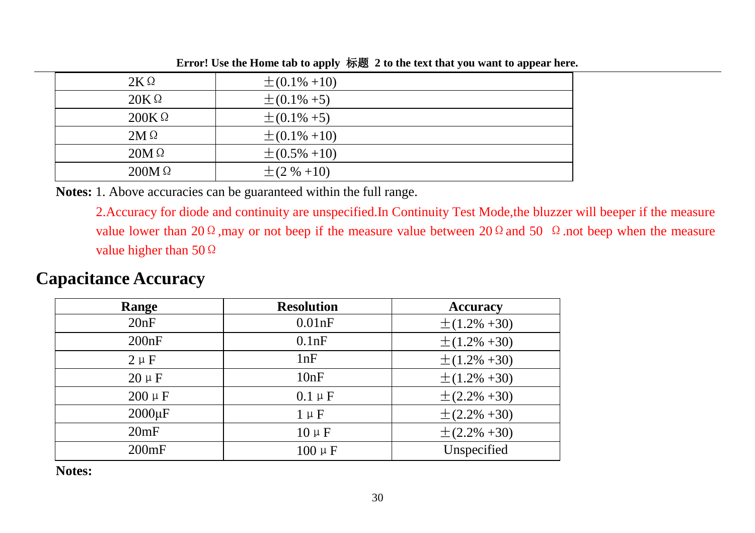| $2K\Omega$   | $\pm (0.1\% +10)$ |
|--------------|-------------------|
| $20K\Omega$  | $\pm (0.1\% + 5)$ |
| $200K\Omega$ | $\pm (0.1\% + 5)$ |
| $2M\Omega$   | $\pm (0.1\% +10)$ |
| $20M\Omega$  | $\pm (0.5\% +10)$ |
| $200M\Omega$ | $\pm (2 \% +10)$  |

**Error! Use the Home tab to apply** 标题 **2 to the text that you want to appear here.**

**Notes:** 1. Above accuracies can be guaranteed within the full range.

2.Accuracy for diode and continuity are unspecified.In Continuity Test Mode,the bluzzer will beeper if the measure value lower than 20 Ω, may or not beep if the measure value between 20 Ω and 50  $\Omega$ .not beep when the measure value higher than 50Ω

#### **Capacitance Accuracy**

| Range       | <b>Resolution</b> | <b>Accuracy</b>    |
|-------------|-------------------|--------------------|
| 20nF        | 0.01nF            | $\pm (1.2\% + 30)$ |
| 200nF       | 0.1nF             | $\pm (1.2\% + 30)$ |
| $2 \mu F$   | 1nF               | $\pm (1.2\% + 30)$ |
| $20 \mu F$  | 10nF              | $\pm (1.2\% + 30)$ |
| $200 \mu F$ | $0.1 \mu F$       | $\pm (2.2\% + 30)$ |
| $2000\mu F$ | $1 \mu F$         | $\pm (2.2\% + 30)$ |
| 20mF        | $10 \mu F$        | $\pm (2.2\% + 30)$ |
| 200mF       | $100 \mu F$       | Unspecified        |

**Notes:**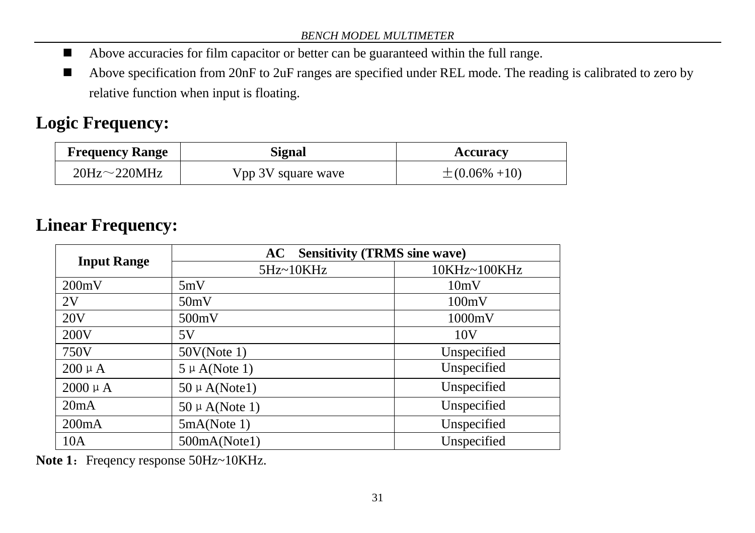- Above accuracies for film capacitor or better can be guaranteed within the full range.
- Above specification from 20nF to 2uF ranges are specified under REL mode. The reading is calibrated to zero by relative function when input is floating.

# **Logic Frequency:**

| <b>Frequency Range</b> | Signal             | Accuracy           |
|------------------------|--------------------|--------------------|
| 20Hz $\sim$ 220MHz     | Vpp 3V square wave | $\pm (0.06\% +10)$ |

# **Linear Frequency:**

|                    | <b>Sensitivity (TRMS sine wave)</b><br>AC. |                 |
|--------------------|--------------------------------------------|-----------------|
| <b>Input Range</b> | 5Hz~10KHz                                  | 10KHz~100KHz    |
| 200mV              | 5mV                                        | 10mV            |
| 2V                 | 50mV                                       | 100mV           |
| 20V                | 500mV                                      | 1000mV          |
| 200V               | 5V                                         | 10 <sub>V</sub> |
| 750V               | 50V(Note 1)                                | Unspecified     |
| $200 \mu A$        | $5 \mu$ A(Note 1)                          | Unspecified     |
| $2000 \mu A$       | $50 \mu$ A(Note1)                          | Unspecified     |
| 20mA               | $50 \mu$ A(Note 1)                         | Unspecified     |
| 200mA              | 5mA(Note 1)                                | Unspecified     |
| 10A                | 500mA(Note1)                               | Unspecified     |

**Note 1:** Freqency response 50Hz~10KHz.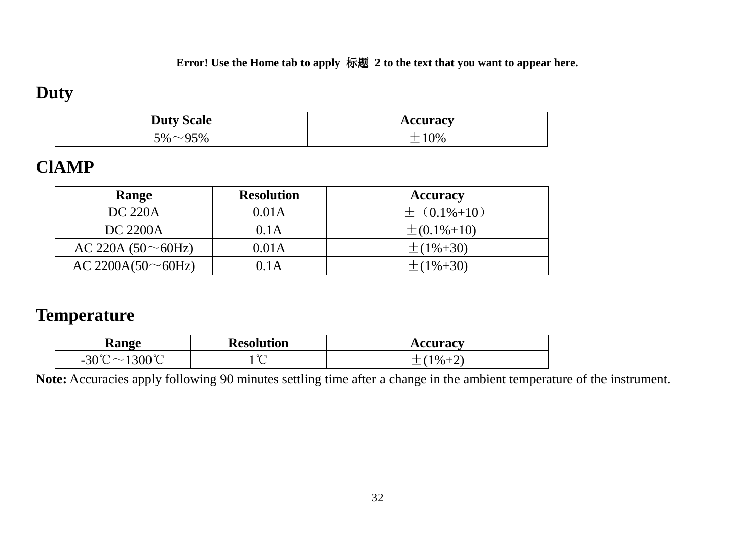#### **Duty**

| <b>Duty Scale</b>                    | Accuracy |
|--------------------------------------|----------|
| $5\%$ ~ $\sim$<br>$\sim$ 0.1<br>$\%$ | 0%       |

#### **ClAMP**

| Range             | <b>Resolution</b> | <b>Accuracy</b>    |
|-------------------|-------------------|--------------------|
| DC 220A           | 0.01A             | $\pm$ (0.1%+10)    |
| DC 2200A          | 0.1A              | $\pm (0.1\% + 10)$ |
| AC 220A (50~60Hz) | 0.01A             | $\pm(1\% + 30)$    |
| AC 2200A(50~60Hz) | 0.1 A             | $\pm(1\% + 30)$    |

#### **Temperature**

| Range                                                        | <b>Resolution</b> | ceuraev<br>Allui al |
|--------------------------------------------------------------|-------------------|---------------------|
| 1300°C<br>$20^{\circ}$<br>$\sim$<br>$\overline{\phantom{0}}$ | $\sim$<br>◡       | 0/2                 |

**Note:** Accuracies apply following 90 minutes settling time after a change in the ambient temperature of the instrument.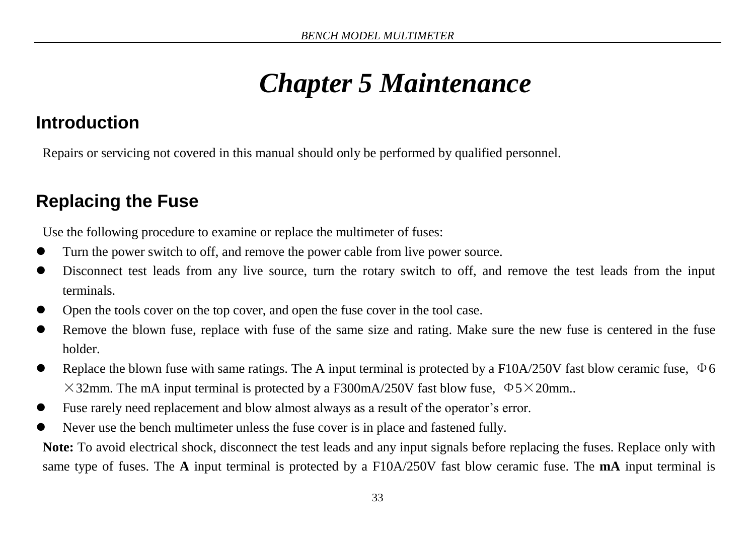# *Chapter 5 Maintenance*

## <span id="page-34-1"></span><span id="page-34-0"></span>**Introduction**

Repairs or servicing not covered in this manual should only be performed by qualified personnel.

# <span id="page-34-2"></span>**Replacing the Fuse**

Use the following procedure to examine or replace the multimeter of fuses:

- Turn the power switch to off, and remove the power cable from live power source.
- Disconnect test leads from any live source, turn the rotary switch to off, and remove the test leads from the input terminals.
- Open the tools cover on the top cover, and open the fuse cover in the tool case.
- Remove the blown fuse, replace with fuse of the same size and rating. Make sure the new fuse is centered in the fuse holder.
- Replace the blown fuse with same ratings. The A input terminal is protected by a F10A/250V fast blow ceramic fuse,  $\Phi$ 6  $\times$ 32mm. The mA input terminal is protected by a F300mA/250V fast blow fuse,  $\Phi$ 5 $\times$ 20mm..
- Fuse rarely need replacement and blow almost always as a result of the operator's error.
- Never use the bench multimeter unless the fuse cover is in place and fastened fully.

**Note:** To avoid electrical shock, disconnect the test leads and any input signals before replacing the fuses. Replace only with same type of fuses. The **A** input terminal is protected by a F10A/250V fast blow ceramic fuse. The **mA** input terminal is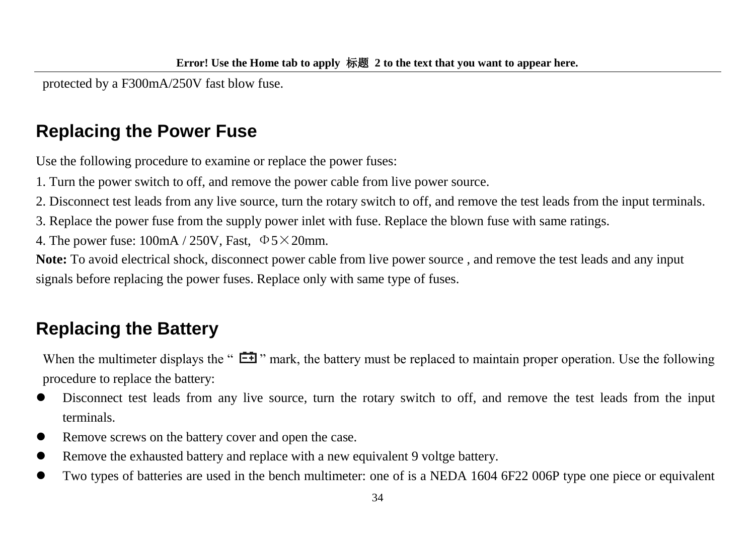protected by a F300mA/250V fast blow fuse.

# <span id="page-35-0"></span>**Replacing the Power Fuse**

Use the following procedure to examine or replace the power fuses:

1. Turn the power switch to off, and remove the power cable from live power source.

2. Disconnect test leads from any live source, turn the rotary switch to off, and remove the test leads from the input terminals.

3. Replace the power fuse from the supply power inlet with fuse. Replace the blown fuse with same ratings.

4. The power fuse:  $100mA / 250V$ , Fast,  $\Phi$ 5×20mm.

**Note:** To avoid electrical shock, disconnect power cable from live power source , and remove the test leads and any input signals before replacing the power fuses. Replace only with same type of fuses.

# <span id="page-35-1"></span>**Replacing the Battery**

When the multimeter displays the " $\Xi$ " mark, the battery must be replaced to maintain proper operation. Use the following procedure to replace the battery:

- Disconnect test leads from any live source, turn the rotary switch to off, and remove the test leads from the input terminals.
- Remove screws on the battery cover and open the case.
- Remove the exhausted battery and replace with a new equivalent 9 voltge battery.
- Two types of batteries are used in the bench multimeter: one of is a NEDA 1604 6F22 006P type one piece or equivalent